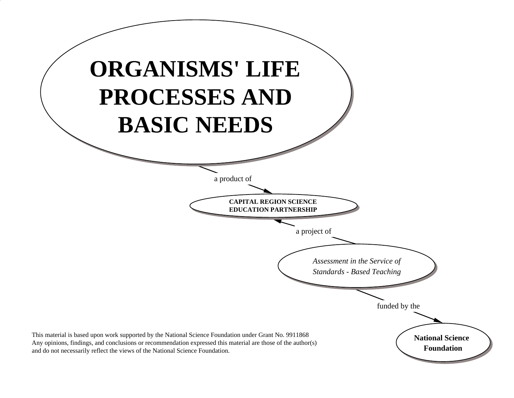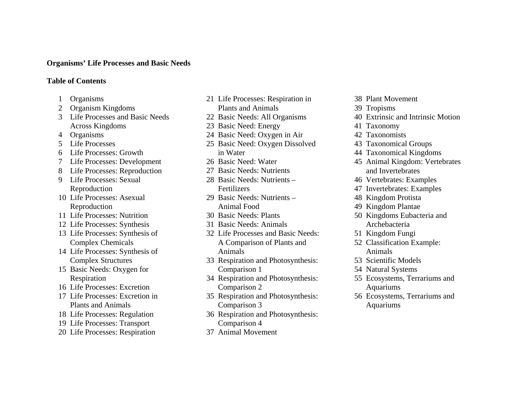#### **Organisms' Life Processes and Basic Needs**

#### **Table of Contents**

- **Organisms**
- Organism Kingdoms
- 3 Life Processes and Basic Needs Across Kingdoms
- 4 Organisms
- 5 Life Processes
- 6 Life Processes: Growth
- 7 Life Processes: Development
- Life Processes: Reproduction
- 9 Life Processes: Sexual Reproduction
- Life Processes: Asexual Reproduction
- Life Processes: Nutrition
- Life Processes: Synthesis
- Life Processes: Synthesis of Complex Chemicals
- Life Processes: Synthesis of Complex Structures
- Basic Needs: Oxygen for Respiration
- Life Processes: Excretion
- Life Processes: Excretion in Plants and Animals
- Life Processes: Regulation
- Life Processes: Transport
- Life Processes: Respiration
- Life Processes: Respiration in Plants and Animals
- Basic Needs: All Organisms
- Basic Need: Energy
- Basic Need: Oxygen in Air
- Basic Need: Oxygen Dissolved in Water
- Basic Need: Water
- Basic Needs: Nutrients
- Basic Needs: Nutrients Fertilizers
- Basic Needs: Nutrients Animal Food
- Basic Needs: Plants
- Basic Needs: Animals
- Life Processes and Basic Needs: A Comparison of Plants and Animals
- Respiration and Photosynthesis: Comparison 1
- Respiration and Photosynthesis: Comparison 2
- Respiration and Photosynthesis: Comparison 3
- Respiration and Photosynthesis: Comparison 4
- Animal Movement
- Plant Movement
- Tropisms
- Extrinsic and Intrinsic Motion
- Taxonomy
- Taxonomists
- Taxonomical Groups
- Taxonomical Kingdoms
- Animal Kingdom: Vertebrates and Invertebrates
- Vertebrates: Examples
- Invertebrates: Examples
- Kingdom Protista
- Kingdom Plantae
- Kingdoms Eubacteria and Archebacteria
- Kingdom Fungi
- Classification Example: Animals
- Scientific Models
- Natural Systems
- Ecosystems, Terrariums and Aquariums
- Ecosystems, Terrariums and Aquariums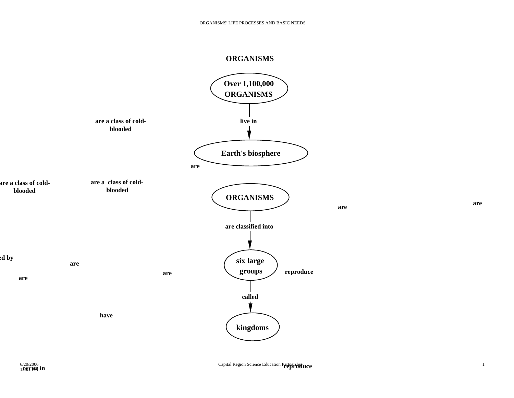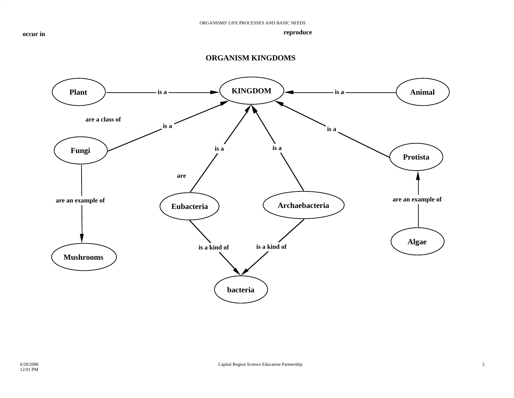

#### **ORGANISM KINGDOMS**

**reproduce**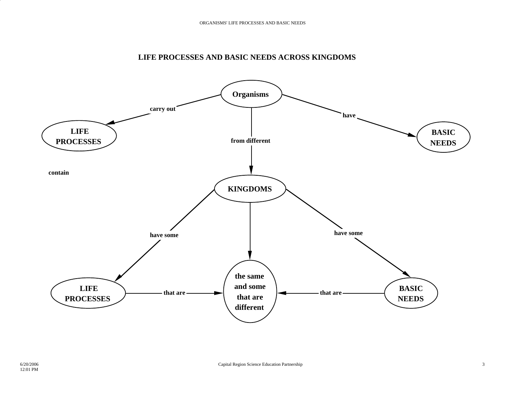#### **LIFE PROCESSES AND BASIC NEEDS ACROSS KINGDOMS**

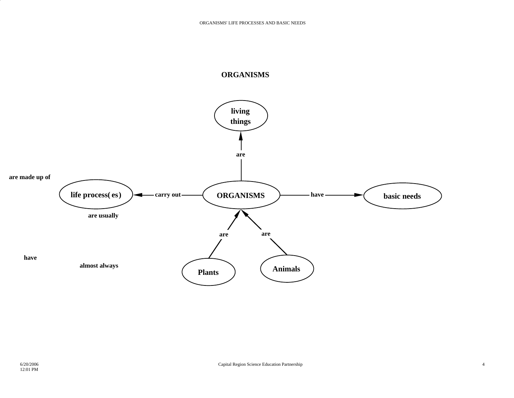

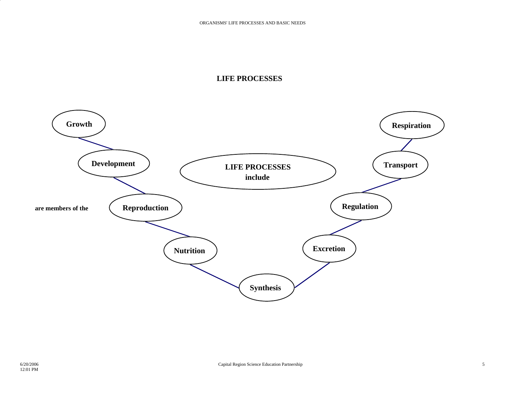#### **LIFE PROCESSES**

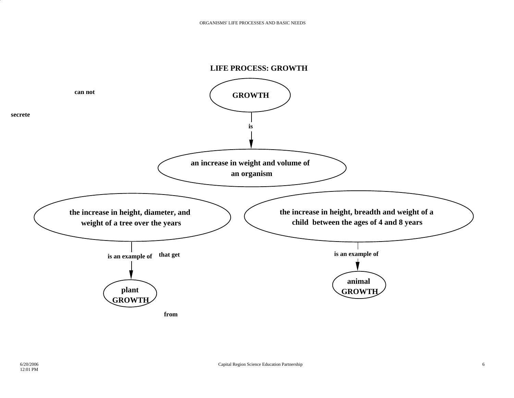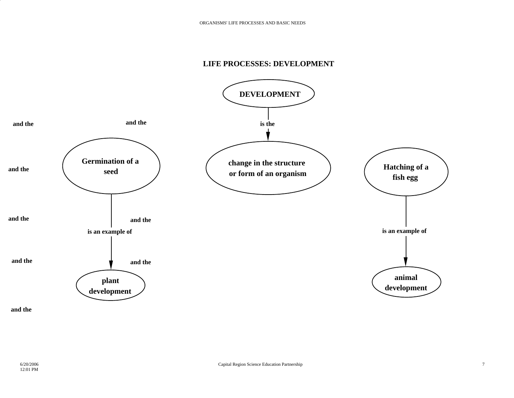#### **LIFE PROCESSES: DEVELOPMENT**



**and the**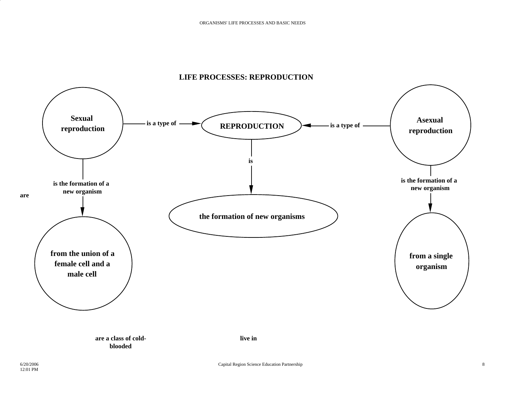

### **LIFE PROCESSES: REPRODUCTION**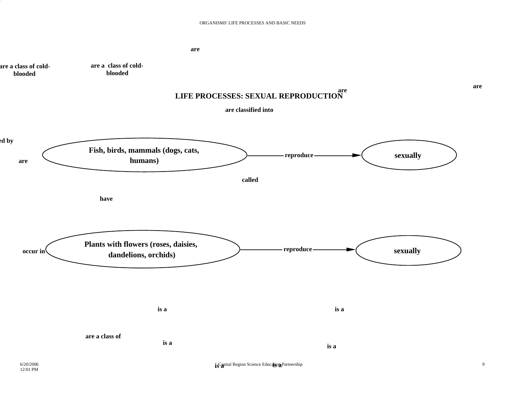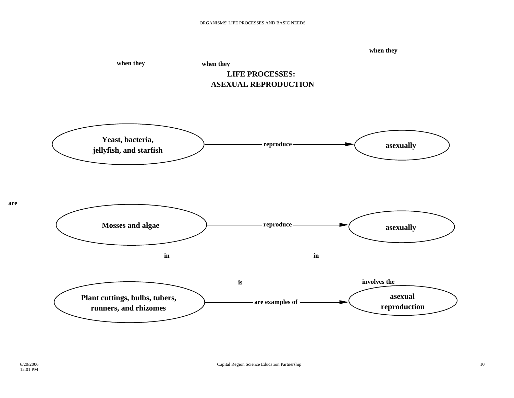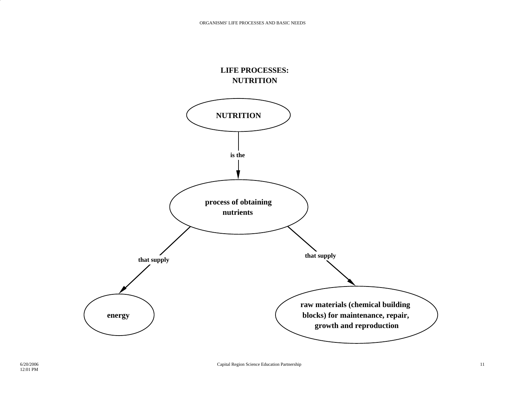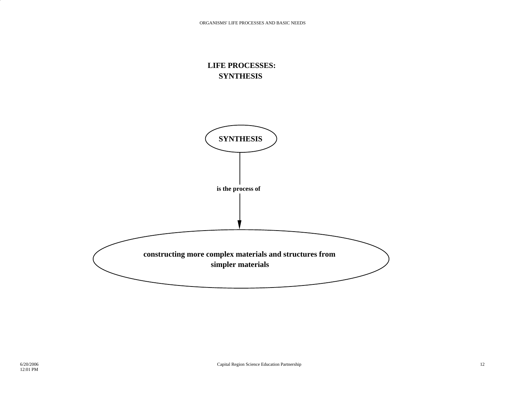### **LIFE PROCESSES: SYNTHESIS**

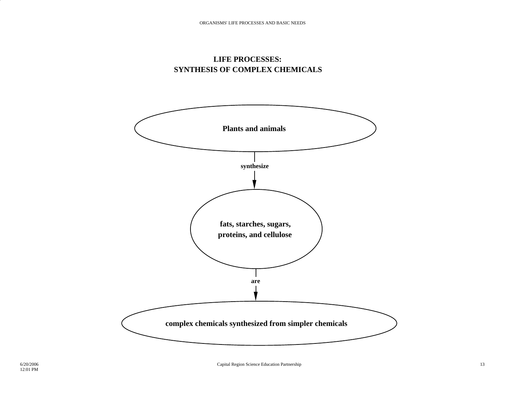

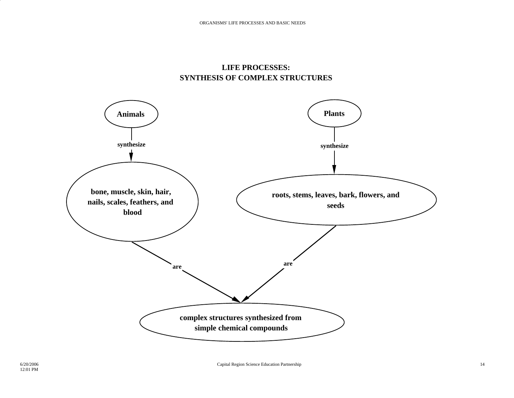## **LIFE PROCESSES: SYNTHESIS OF COMPLEX STRUCTURES**

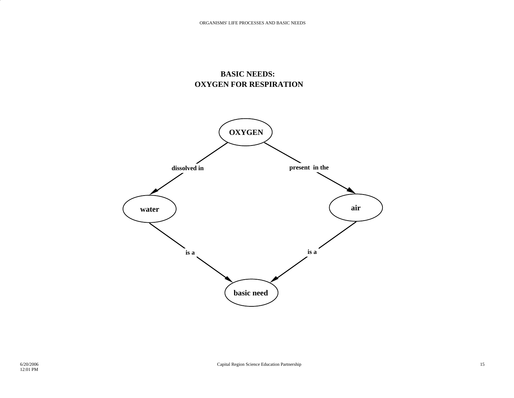# **BASIC NEEDS: OXYGEN FOR RESPIRATION**

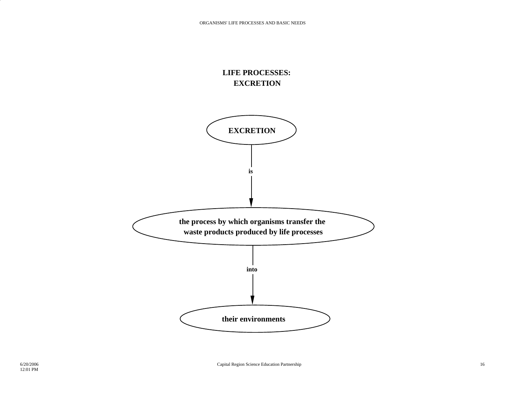

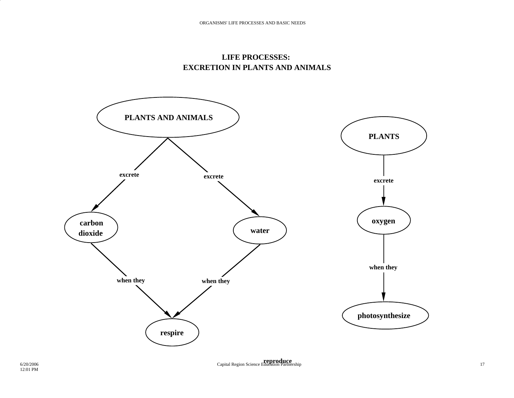

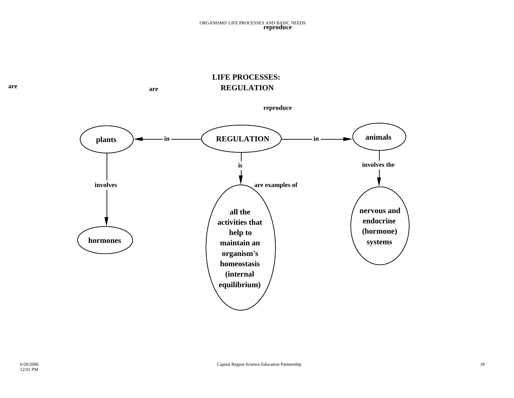## **LIFE PROCESSES: REGULATION**

are

**areare and are are are are** 



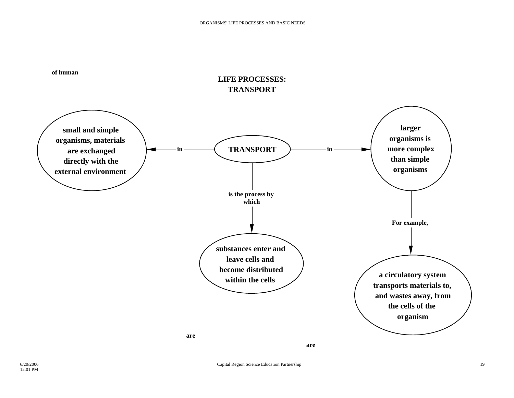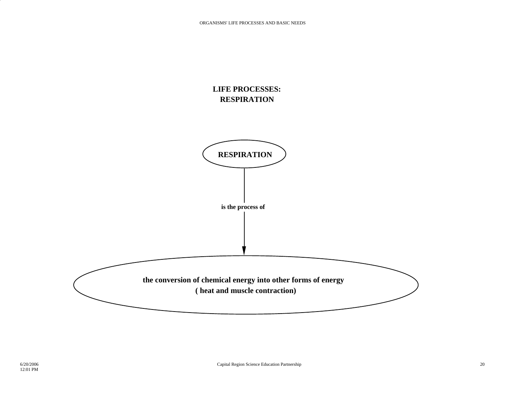

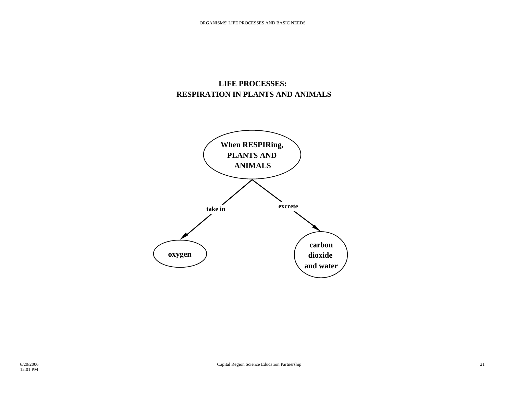# **LIFE PROCESSES: RESPIRATION IN PLANTS AND ANIMALS**

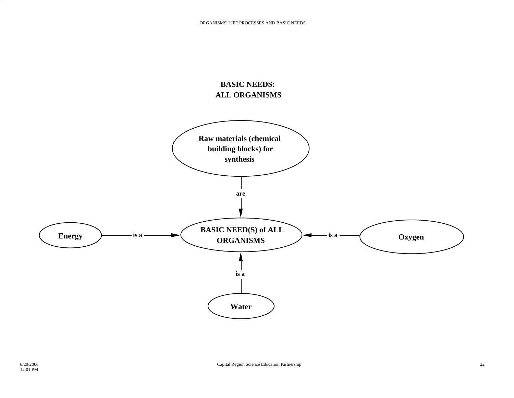### **BASIC NEEDS: ALL ORGANISMS**

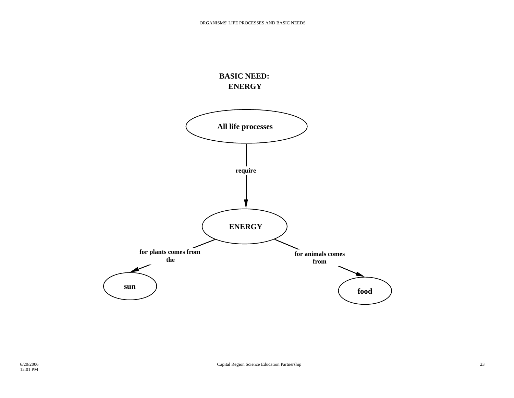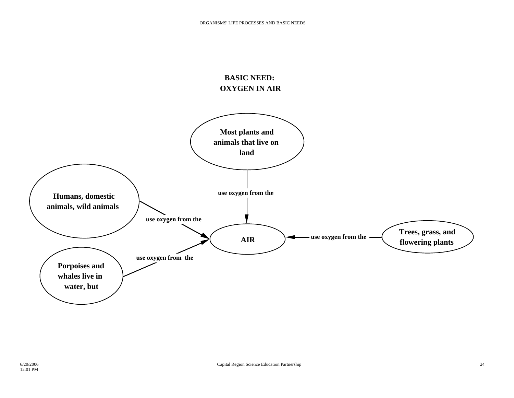# **BASIC NEED: OXYGEN IN AIR**

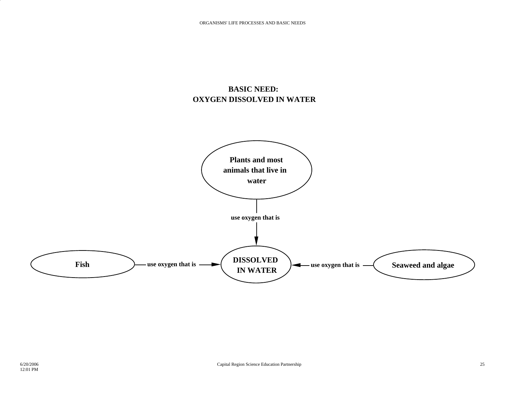# **BASIC NEED: OXYGEN DISSOLVED IN WATER**

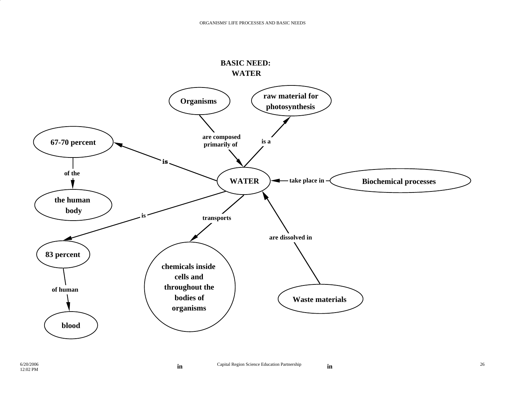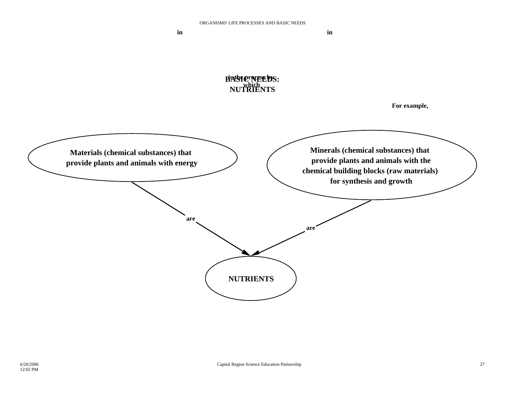**in**

**in**

**is the process by which BASIC NEEDS: NUTRIENTS**

**For example,**

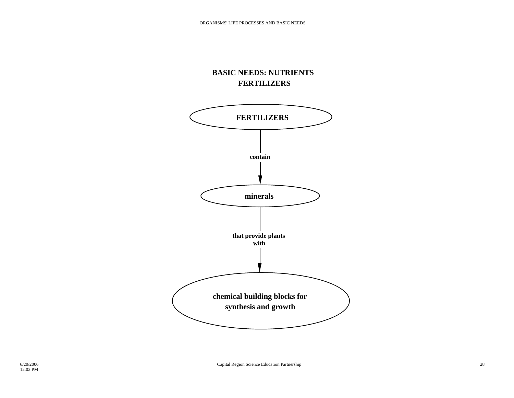# **BASIC NEEDS: NUTRIENTS FERTILIZERS**

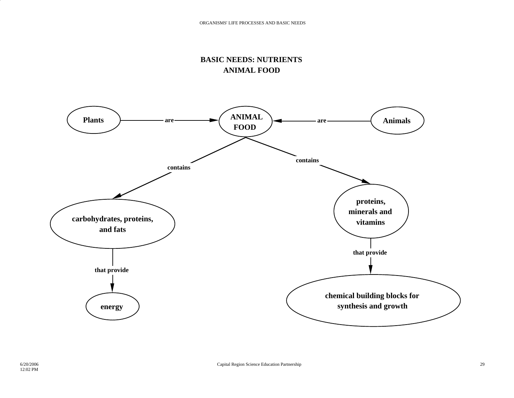# **BASIC NEEDS: NUTRIENTS ANIMAL FOOD**

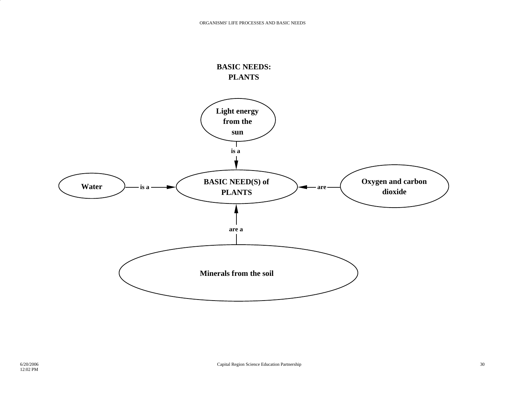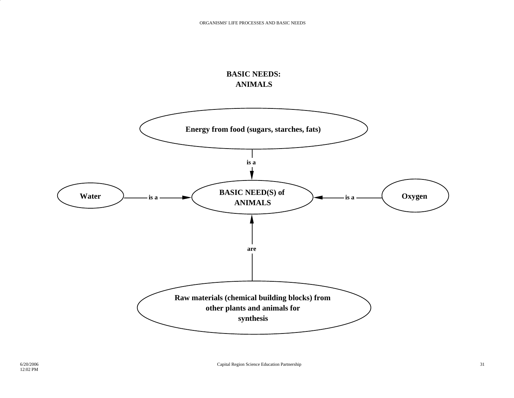# **BASIC NEEDS: ANIMALS**

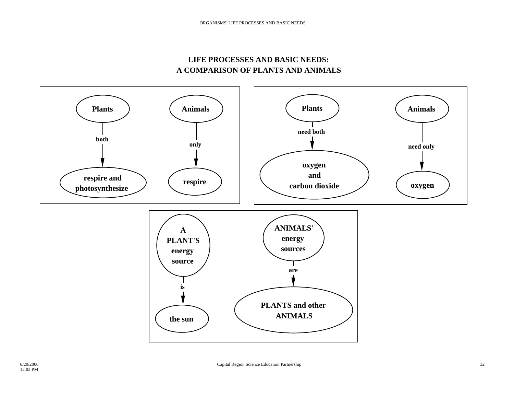## **LIFE PROCESSES AND BASIC NEEDS: A COMPARISON OF PLANTS AND ANIMALS**

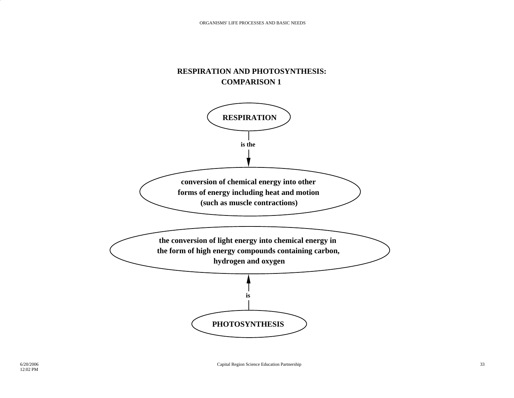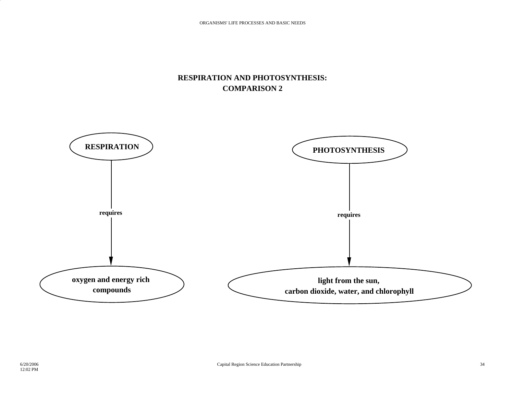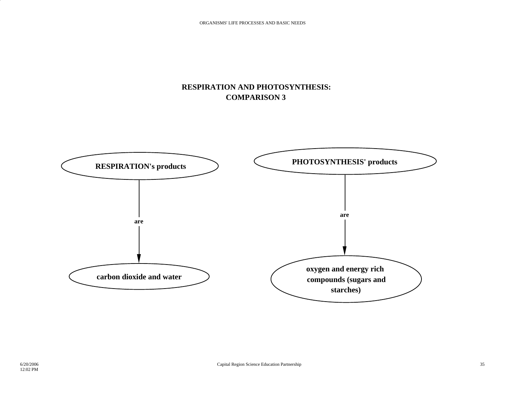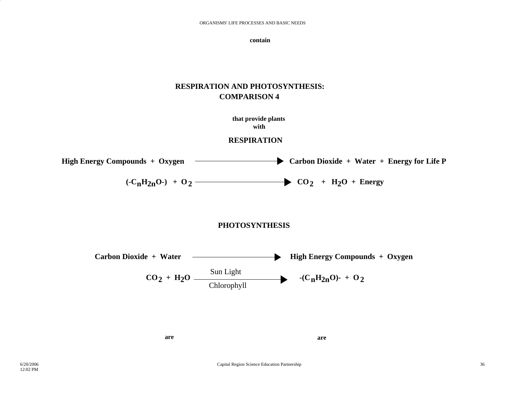**contain**

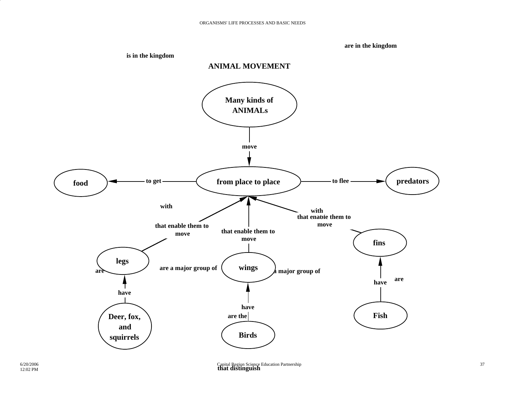**are in the kingdom**

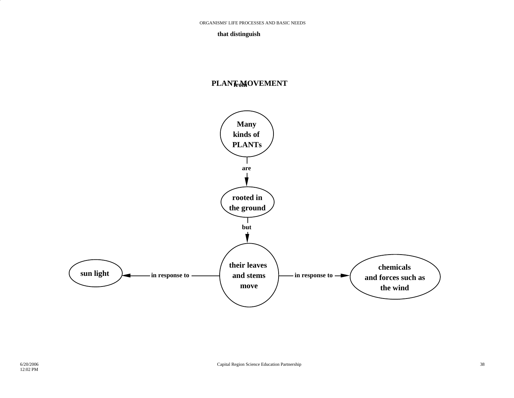#### **that distinguish**

#### **PLANT MOVEMENT from**

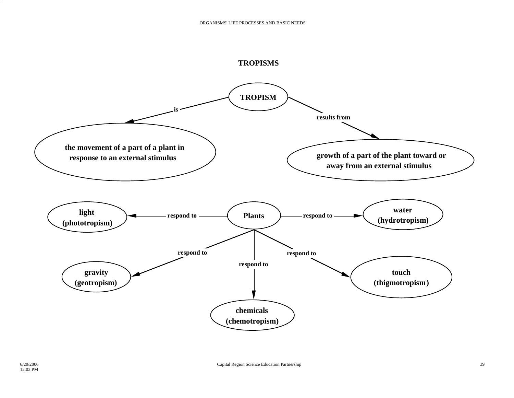

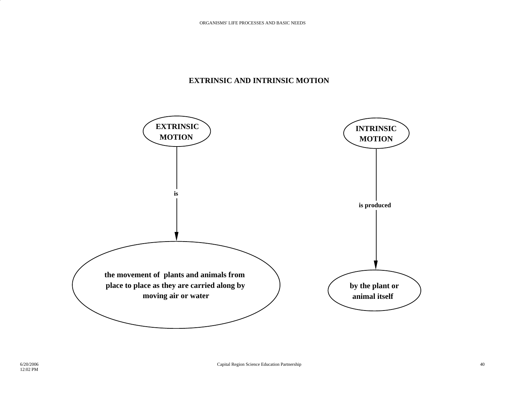### **EXTRINSIC AND INTRINSIC MOTION**

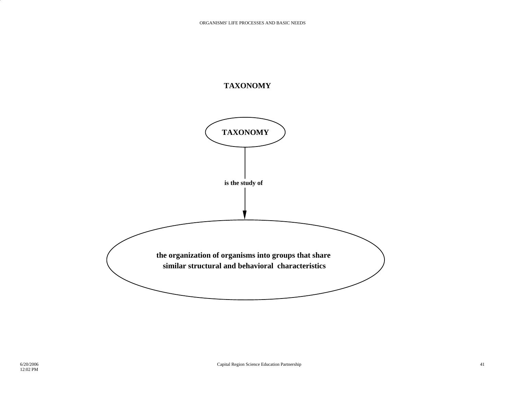## **TAXONOMY**

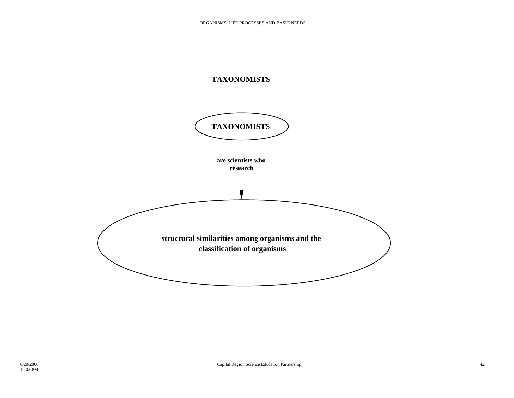

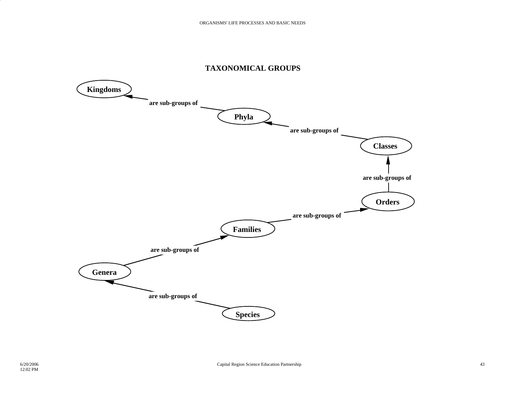

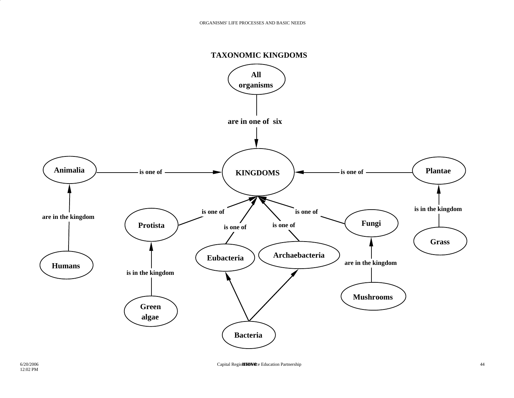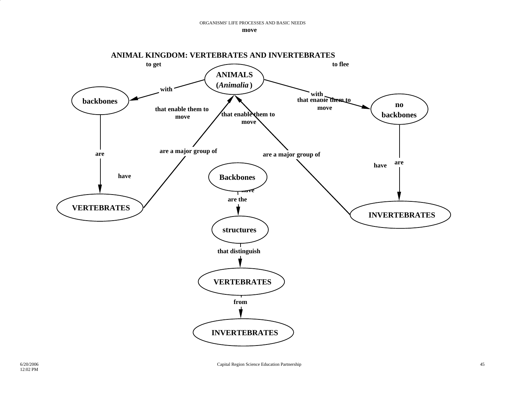**move**

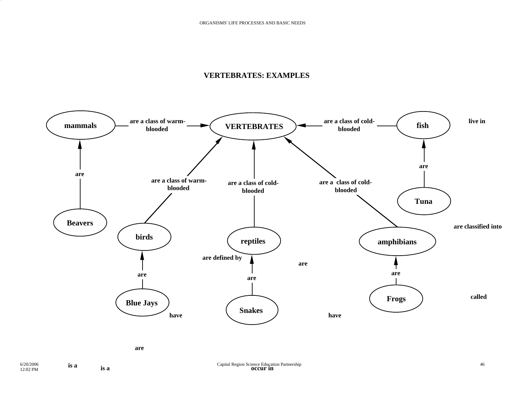### **VERTEBRATES: EXAMPLES**



**is a**

**is a**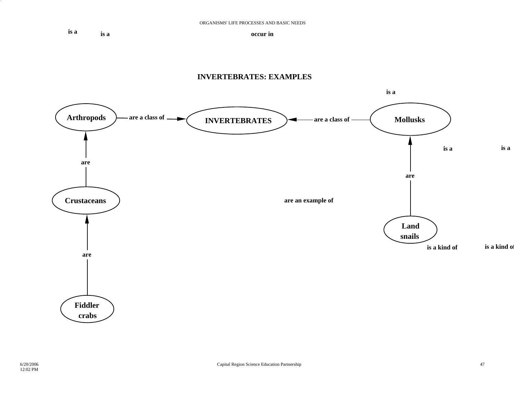**is ais a**

**occur in**

#### **INVERTEBRATES: EXAMPLES**

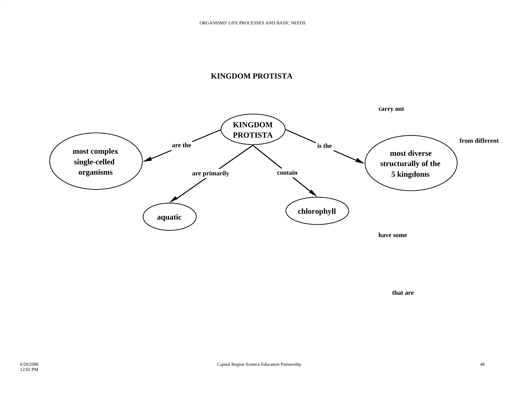## **KINGDOM PROTISTA**



**that are**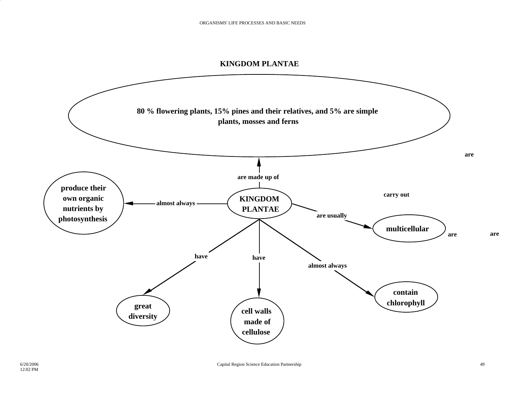#### **KINGDOM PLANTAE**

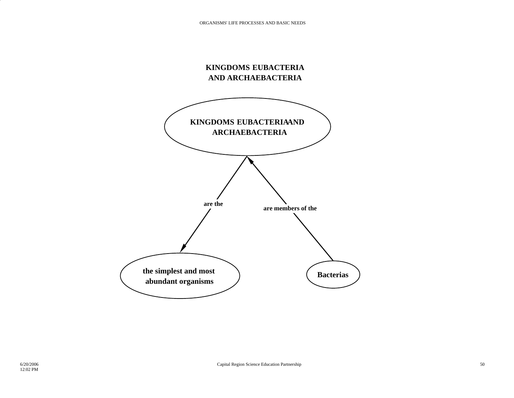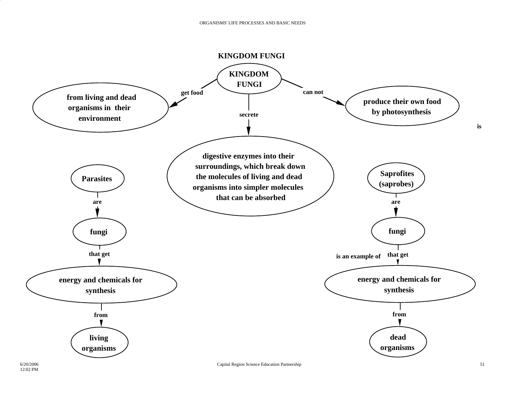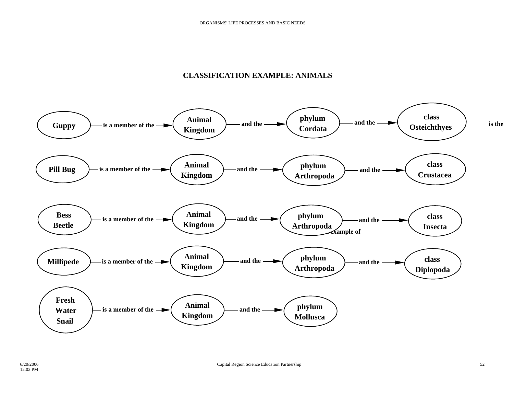### **CLASSIFICATION EXAMPLE: ANIMALS**

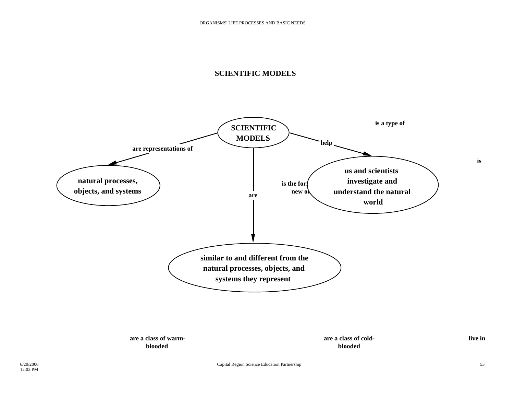### **SCIENTIFIC MODELS**

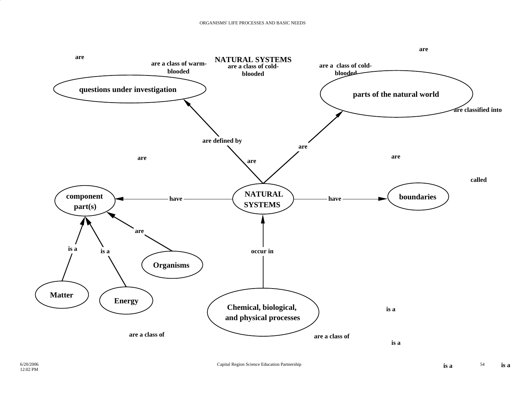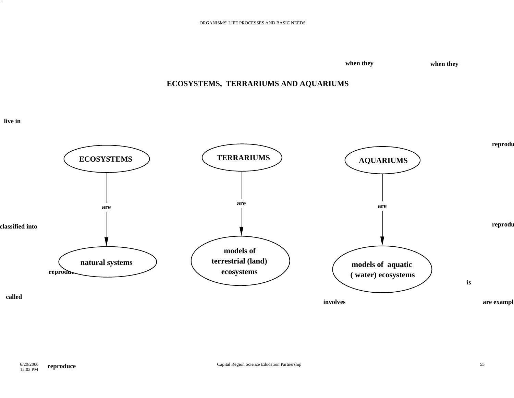**when they when they**

# **ECOSYSTEMS, TERRARIUMS AND AQUARIUMS**

**live in**

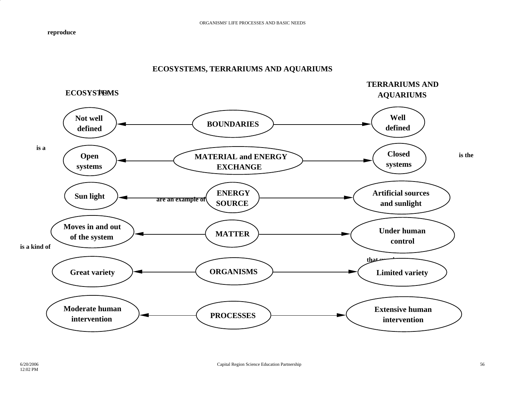**reproduce**

### **ECOSYSTEMS, TERRARIUMS AND AQUARIUMS**

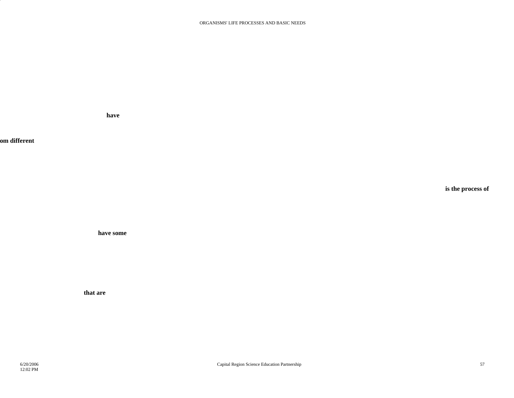**have**

**om different**

**is the process of**

**have some**

**that are**

6/20/200612:02 PM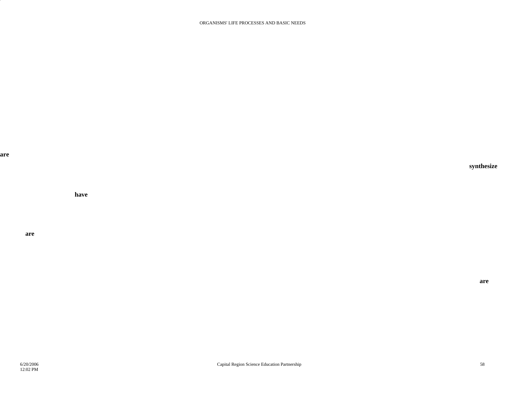**are**

**have**

**are**

**synthesize**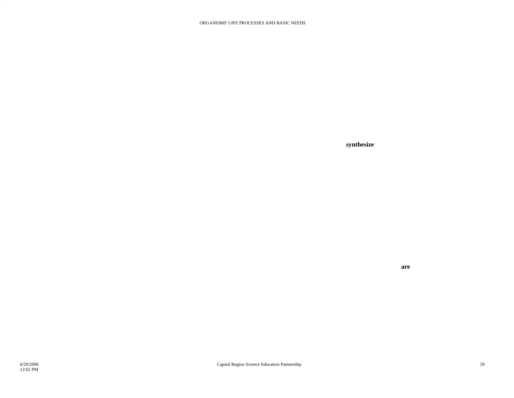**synthesize**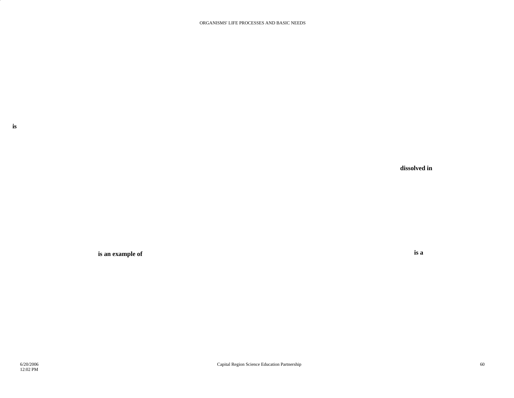**dissolved in**

**is an example of** 

**is a**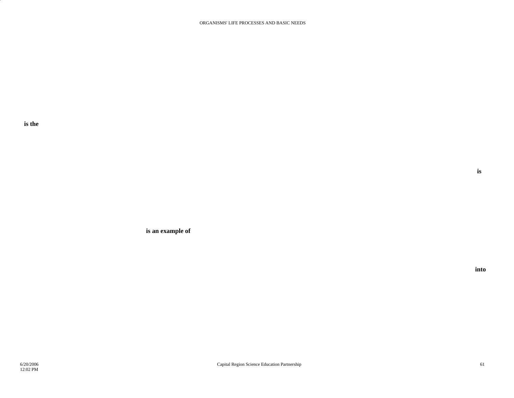**is the**

**is an example of**

**into**

**is**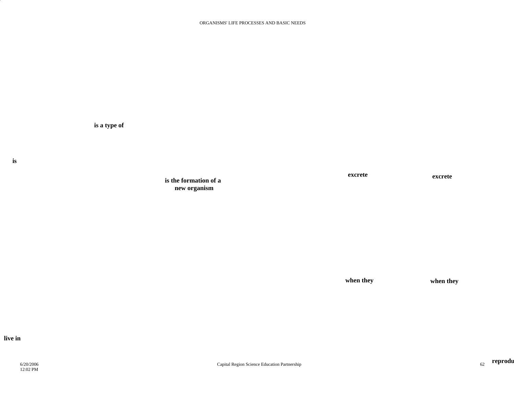**is**

**is the formation of a new organism**

**is a type of** 

**excrete**

**excrete**

**when they when they**

**live in**

6/20/200612:02 PM

**reprodu**